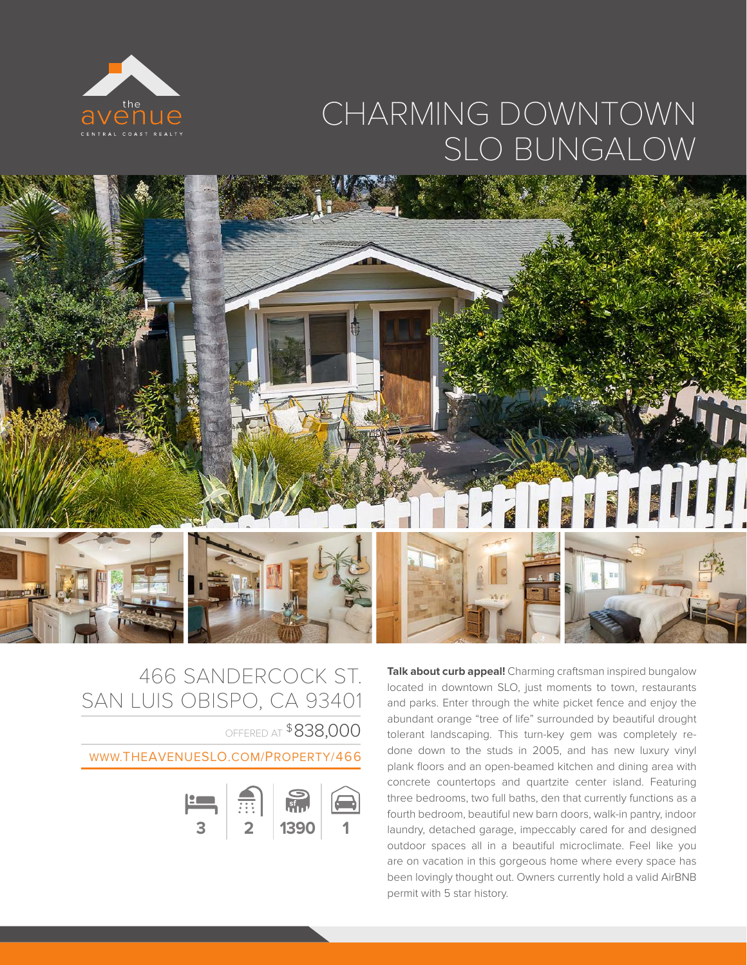

# CHARMING DOWNTOWN SLO BUNGALOW



## 466 SANDERCOCK ST. SAN LUIS OBISPO, CA 93401

OFFERED AT  $$838,000$ 

#### WWW.THEAVENUESLO.COM/PROPERTY/466



**Talk about curb appeal!** Charming craftsman inspired bungalow located in downtown SLO, just moments to town, restaurants and parks. Enter through the white picket fence and enjoy the abundant orange "tree of life" surrounded by beautiful drought tolerant landscaping. This turn-key gem was completely redone down to the studs in 2005, and has new luxury vinyl plank floors and an open-beamed kitchen and dining area with concrete countertops and quartzite center island. Featuring three bedrooms, two full baths, den that currently functions as a fourth bedroom, beautiful new barn doors, walk-in pantry, indoor laundry, detached garage, impeccably cared for and designed outdoor spaces all in a beautiful microclimate. Feel like you are on vacation in this gorgeous home where every space has been lovingly thought out. Owners currently hold a valid AirBNB permit with 5 star history.